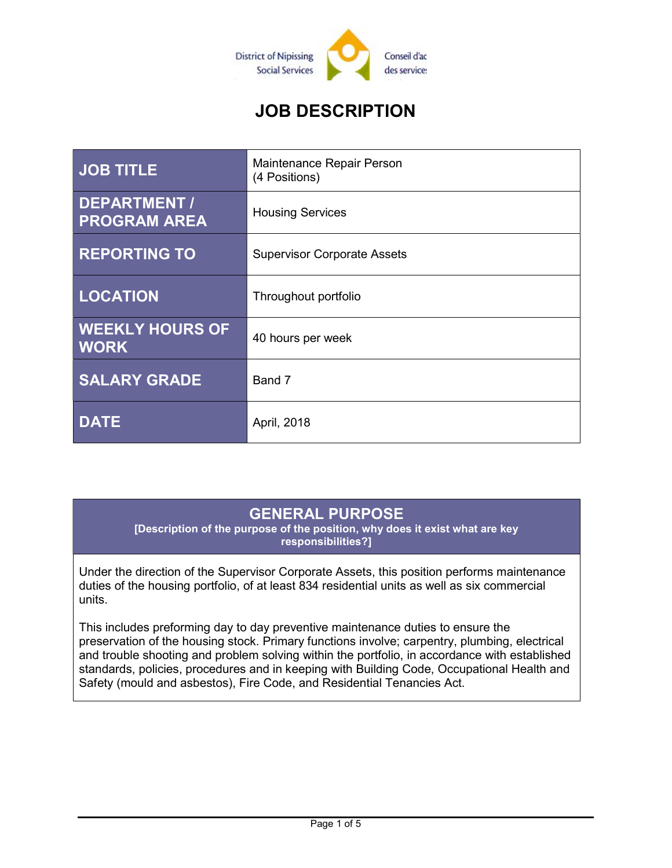

# JOB DESCRIPTION

| <b>JOB TITLE</b>                      | Maintenance Repair Person<br>(4 Positions) |
|---------------------------------------|--------------------------------------------|
| DEPARTMENT /<br><b>PROGRAM AREA</b>   | <b>Housing Services</b>                    |
| <b>REPORTING TO</b>                   | <b>Supervisor Corporate Assets</b>         |
| <b>LOCATION</b>                       | Throughout portfolio                       |
| <b>WEEKLY HOURS OF</b><br><b>WORK</b> | 40 hours per week                          |
| <b>SALARY GRADE</b>                   | Band 7                                     |
| <b>DATE</b>                           | April, 2018                                |

### GENERAL PURPOSE

[Description of the purpose of the position, why does it exist what are key responsibilities?]

Under the direction of the Supervisor Corporate Assets, this position performs maintenance duties of the housing portfolio, of at least 834 residential units as well as six commercial units.

This includes preforming day to day preventive maintenance duties to ensure the preservation of the housing stock. Primary functions involve; carpentry, plumbing, electrical and trouble shooting and problem solving within the portfolio, in accordance with established standards, policies, procedures and in keeping with Building Code, Occupational Health and Safety (mould and asbestos), Fire Code, and Residential Tenancies Act.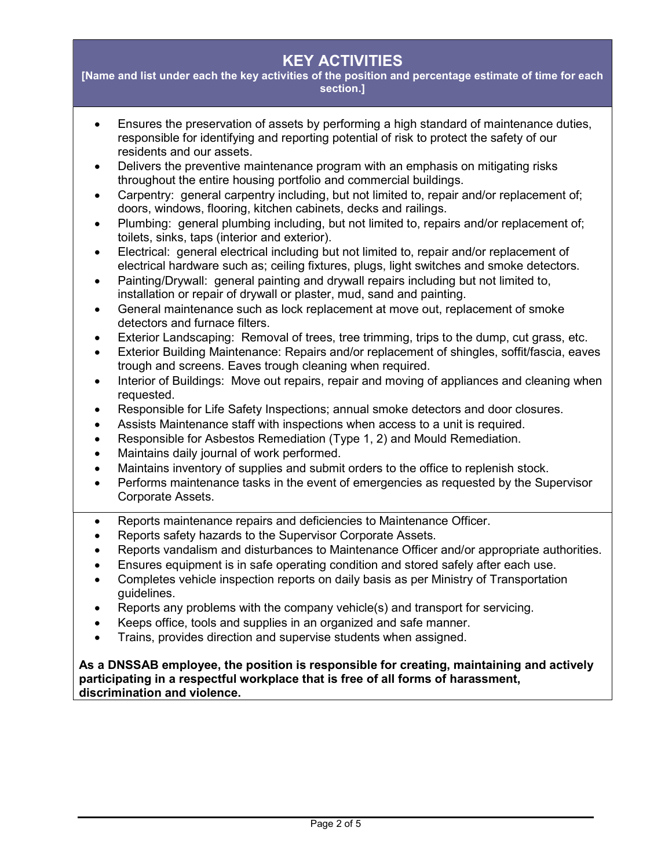# KEY ACTIVITIES

[Name and list under each the key activities of the position and percentage estimate of time for each section.]

- Ensures the preservation of assets by performing a high standard of maintenance duties, responsible for identifying and reporting potential of risk to protect the safety of our residents and our assets.
- Delivers the preventive maintenance program with an emphasis on mitigating risks throughout the entire housing portfolio and commercial buildings.
- Carpentry: general carpentry including, but not limited to, repair and/or replacement of; doors, windows, flooring, kitchen cabinets, decks and railings.
- Plumbing: general plumbing including, but not limited to, repairs and/or replacement of; toilets, sinks, taps (interior and exterior).
- Electrical: general electrical including but not limited to, repair and/or replacement of electrical hardware such as; ceiling fixtures, plugs, light switches and smoke detectors.
- Painting/Drywall: general painting and drywall repairs including but not limited to, installation or repair of drywall or plaster, mud, sand and painting.
- General maintenance such as lock replacement at move out, replacement of smoke detectors and furnace filters.
- Exterior Landscaping: Removal of trees, tree trimming, trips to the dump, cut grass, etc.
- Exterior Building Maintenance: Repairs and/or replacement of shingles, soffit/fascia, eaves trough and screens. Eaves trough cleaning when required.
- Interior of Buildings: Move out repairs, repair and moving of appliances and cleaning when requested.
- Responsible for Life Safety Inspections; annual smoke detectors and door closures.
- Assists Maintenance staff with inspections when access to a unit is required.
- Responsible for Asbestos Remediation (Type 1, 2) and Mould Remediation.
- Maintains daily journal of work performed.
- Maintains inventory of supplies and submit orders to the office to replenish stock.
- Performs maintenance tasks in the event of emergencies as requested by the Supervisor Corporate Assets.
- Reports maintenance repairs and deficiencies to Maintenance Officer.
- Reports safety hazards to the Supervisor Corporate Assets.
- Reports vandalism and disturbances to Maintenance Officer and/or appropriate authorities.
- Ensures equipment is in safe operating condition and stored safely after each use.
- Completes vehicle inspection reports on daily basis as per Ministry of Transportation guidelines.
- Reports any problems with the company vehicle(s) and transport for servicing.
- Keeps office, tools and supplies in an organized and safe manner.
- Trains, provides direction and supervise students when assigned.

#### As a DNSSAB employee, the position is responsible for creating, maintaining and actively participating in a respectful workplace that is free of all forms of harassment, discrimination and violence.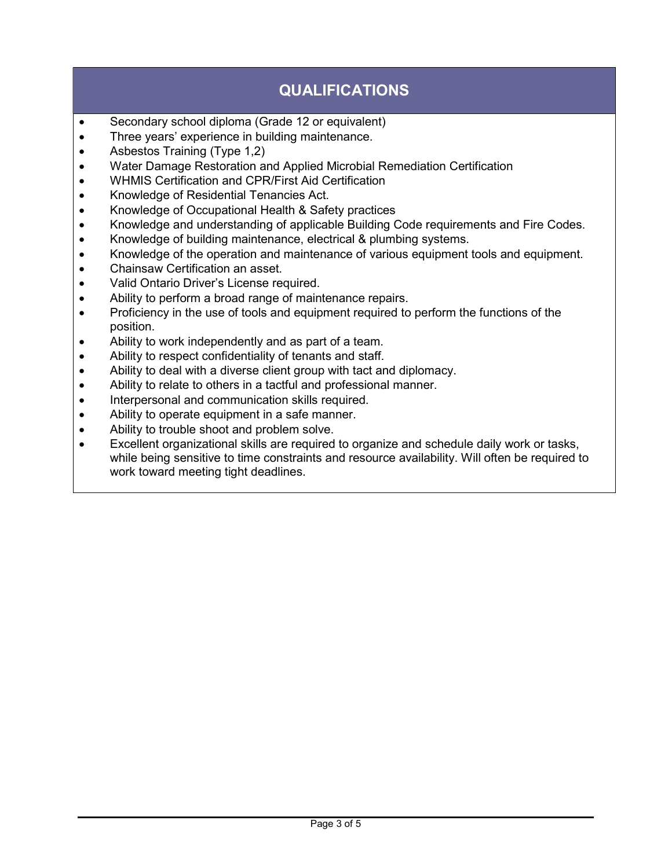# QUALIFICATIONS

- Secondary school diploma (Grade 12 or equivalent)
- Three years' experience in building maintenance.
- Asbestos Training (Type 1,2)
- Water Damage Restoration and Applied Microbial Remediation Certification
- WHMIS Certification and CPR/First Aid Certification
- Knowledge of Residential Tenancies Act.
- Knowledge of Occupational Health & Safety practices
- Knowledge and understanding of applicable Building Code requirements and Fire Codes.
- Knowledge of building maintenance, electrical & plumbing systems.
- Knowledge of the operation and maintenance of various equipment tools and equipment.
- Chainsaw Certification an asset.
- Valid Ontario Driver's License required.
- Ability to perform a broad range of maintenance repairs.
- Proficiency in the use of tools and equipment required to perform the functions of the position.
- Ability to work independently and as part of a team.
- Ability to respect confidentiality of tenants and staff.
- Ability to deal with a diverse client group with tact and diplomacy.
- Ability to relate to others in a tactful and professional manner.
- Interpersonal and communication skills required.
- Ability to operate equipment in a safe manner.
- Ability to trouble shoot and problem solve.
- Excellent organizational skills are required to organize and schedule daily work or tasks, while being sensitive to time constraints and resource availability. Will often be required to work toward meeting tight deadlines.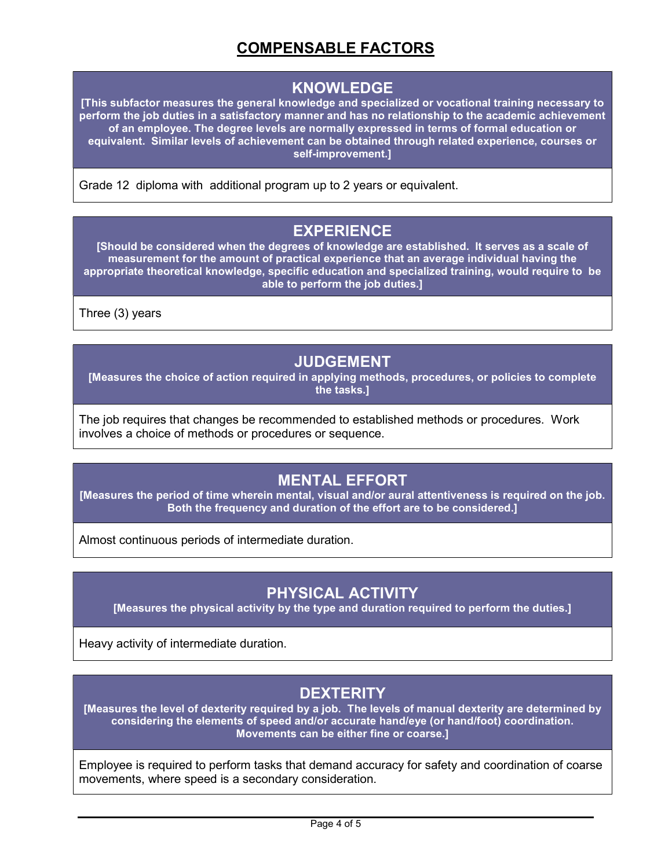# COMPENSABLE FACTORS

#### KNOWLEDGE

[This subfactor measures the general knowledge and specialized or vocational training necessary to perform the job duties in a satisfactory manner and has no relationship to the academic achievement of an employee. The degree levels are normally expressed in terms of formal education or equivalent. Similar levels of achievement can be obtained through related experience, courses or self-improvement.]

Grade 12 diploma with additional program up to 2 years or equivalent.

### EXPERIENCE

[Should be considered when the degrees of knowledge are established. It serves as a scale of measurement for the amount of practical experience that an average individual having the appropriate theoretical knowledge, specific education and specialized training, would require to be able to perform the job duties.]

Three (3) years

### JUDGEMENT

[Measures the choice of action required in applying methods, procedures, or policies to complete the tasks.]

The job requires that changes be recommended to established methods or procedures. Work involves a choice of methods or procedures or sequence.

### MENTAL EFFORT

[Measures the period of time wherein mental, visual and/or aural attentiveness is required on the job. Both the frequency and duration of the effort are to be considered.]

Almost continuous periods of intermediate duration.

#### PHYSICAL ACTIVITY

[Measures the physical activity by the type and duration required to perform the duties.]

Heavy activity of intermediate duration.

#### **DEXTERITY**

[Measures the level of dexterity required by a job. The levels of manual dexterity are determined by considering the elements of speed and/or accurate hand/eye (or hand/foot) coordination. Movements can be either fine or coarse.]

Employee is required to perform tasks that demand accuracy for safety and coordination of coarse movements, where speed is a secondary consideration.